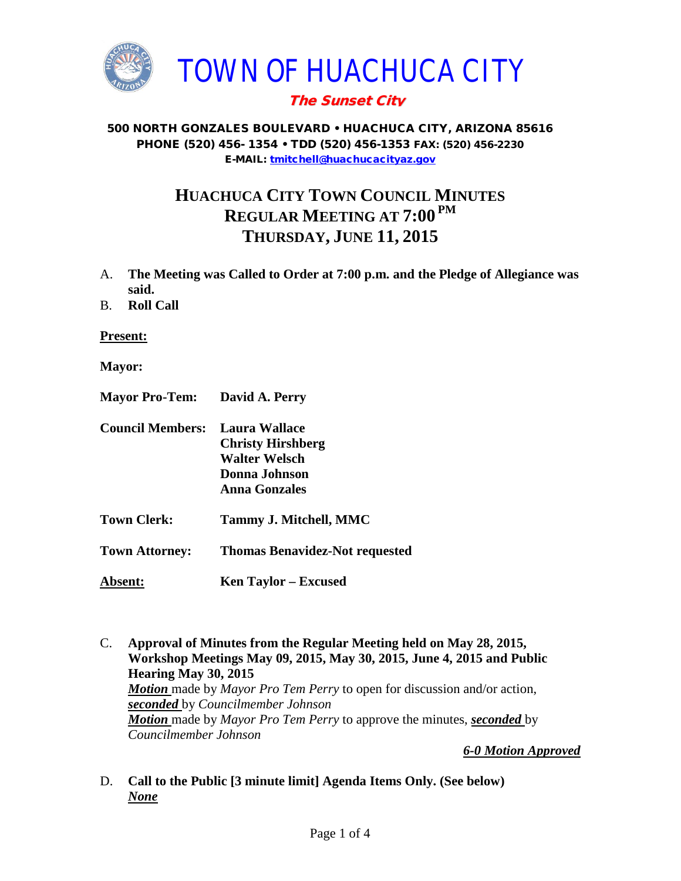

## The Sunset City

#### 500 NORTH GONZALES BOULEVARD • HUACHUCA CITY, ARIZONA 85616 PHONE (520) 456- 1354 • TDD (520) 456-1353 FAX: (520) 456-2230 E-MAIL: [tmitchell@huachucacityaz.gov](mailto:tmitchell@huachucacityaz.gov)

# **HUACHUCA CITY TOWN COUNCIL MINUTES REGULAR MEETING AT 7:00 PM THURSDAY, JUNE 11, 2015**

- A. **The Meeting was Called to Order at 7:00 p.m. and the Pledge of Allegiance was said.**
- B. **Roll Call**

**Present:**

- **Mayor:**
- **Mayor Pro-Tem: David A. Perry**
- **Council Members: Laura Wallace Christy Hirshberg Walter Welsch Donna Johnson Anna Gonzales**
- **Town Clerk: Tammy J. Mitchell, MMC**
- **Town Attorney: Thomas Benavidez-Not requested**
- **Absent: Ken Taylor – Excused**
- C. **Approval of Minutes from the Regular Meeting held on May 28, 2015, Workshop Meetings May 09, 2015, May 30, 2015, June 4, 2015 and Public Hearing May 30, 2015** *Motion* made by *Mayor Pro Tem Perry* to open for discussion and/or action, *seconded* by *Councilmember Johnson Motion* made by *Mayor Pro Tem Perry* to approve the minutes, *seconded* by *Councilmember Johnson*

*6-0 Motion Approved*

D. **Call to the Public [3 minute limit] Agenda Items Only. (See below)** *None*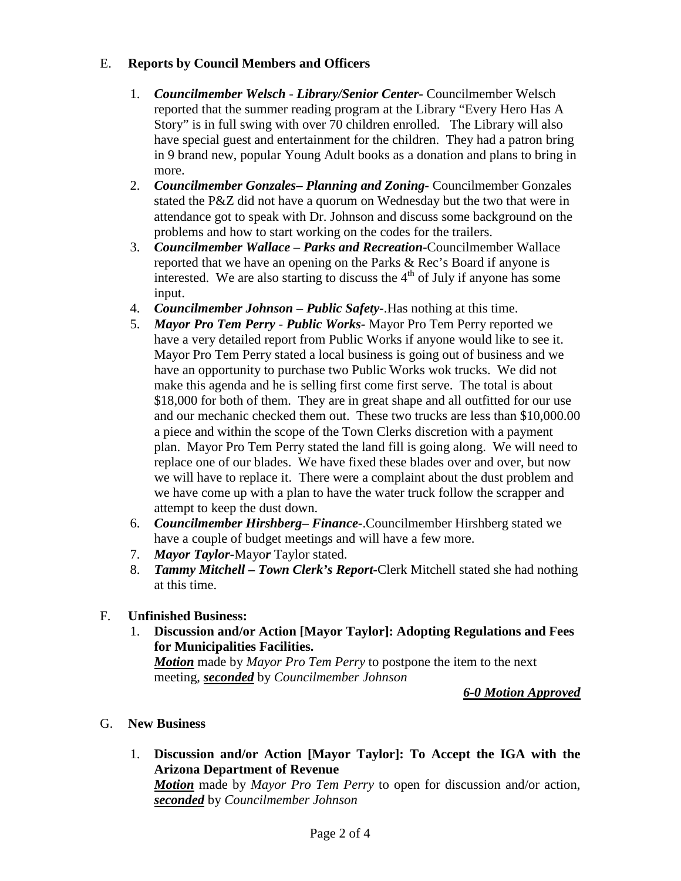### E. **Reports by Council Members and Officers**

- 1. *Councilmember Welsch - Library/Senior Center***-** Councilmember Welsch reported that the summer reading program at the Library "Every Hero Has A Story" is in full swing with over 70 children enrolled. The Library will also have special guest and entertainment for the children. They had a patron bring in 9 brand new, popular Young Adult books as a donation and plans to bring in more.
- 2. *Councilmember Gonzales***–** *Planning and Zoning-* Councilmember Gonzales stated the P&Z did not have a quorum on Wednesday but the two that were in attendance got to speak with Dr. Johnson and discuss some background on the problems and how to start working on the codes for the trailers.
- 3. *Councilmember Wallace* **–** *Parks and Recreation***-**Councilmember Wallace reported that we have an opening on the Parks & Rec's Board if anyone is interested. We are also starting to discuss the  $4<sup>th</sup>$  of July if anyone has some input.
- 4. *Councilmember Johnson – Public Safety-*.Has nothing at this time.
- 5. *Mayor Pro Tem Perry Public Works-* Mayor Pro Tem Perry reported we have a very detailed report from Public Works if anyone would like to see it. Mayor Pro Tem Perry stated a local business is going out of business and we have an opportunity to purchase two Public Works wok trucks. We did not make this agenda and he is selling first come first serve. The total is about \$18,000 for both of them. They are in great shape and all outfitted for our use and our mechanic checked them out. These two trucks are less than \$10,000.00 a piece and within the scope of the Town Clerks discretion with a payment plan. Mayor Pro Tem Perry stated the land fill is going along. We will need to replace one of our blades. We have fixed these blades over and over, but now we will have to replace it. There were a complaint about the dust problem and we have come up with a plan to have the water truck follow the scrapper and attempt to keep the dust down.
- 6. *Councilmember Hirshberg***–** *Finance-*.Councilmember Hirshberg stated we have a couple of budget meetings and will have a few more.
- 7. *Mayor Taylor-*Mayo*r* Taylor stated.
- 8. *Tammy Mitchell – Town Clerk's Report-*Clerk Mitchell stated she had nothing at this time.

### F. **Unfinished Business:**

1. **Discussion and/or Action [Mayor Taylor]: Adopting Regulations and Fees for Municipalities Facilities.**

*Motion* made by *Mayor Pro Tem Perry* to postpone the item to the next meeting, *seconded* by *Councilmember Johnson*

*6-0 Motion Approved*

### G. **New Business**

1. **Discussion and/or Action [Mayor Taylor]: To Accept the IGA with the Arizona Department of Revenue**

*Motion* made by *Mayor Pro Tem Perry* to open for discussion and/or action, *seconded* by *Councilmember Johnson*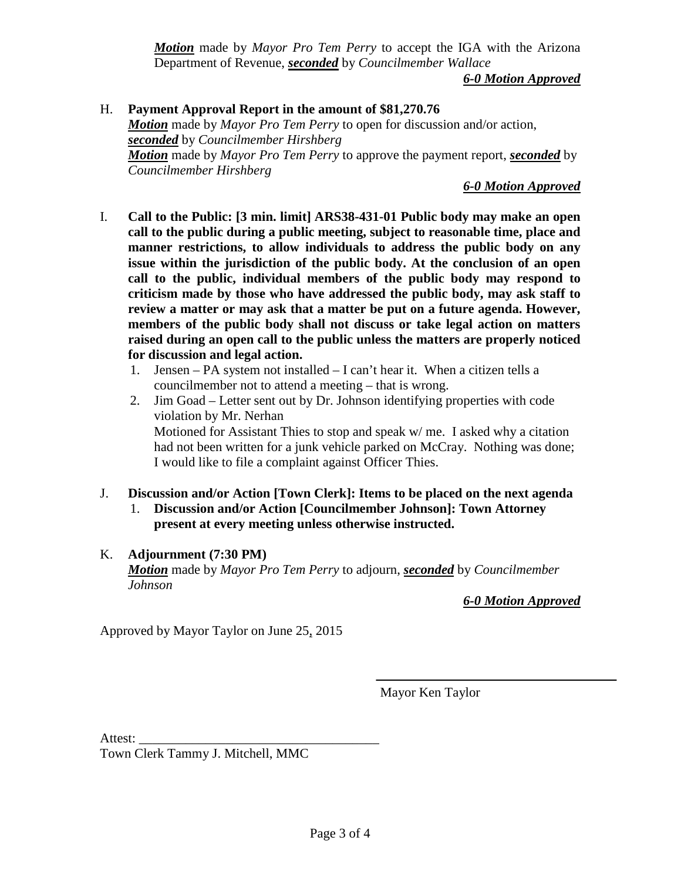*Motion* made by *Mayor Pro Tem Perry* to accept the IGA with the Arizona Department of Revenue, *seconded* by *Councilmember Wallace*

*6-0 Motion Approved*

H. **Payment Approval Report in the amount of \$81,270.76** *Motion* made by *Mayor Pro Tem Perry* to open for discussion and/or action, *seconded* by *Councilmember Hirshberg Motion* made by *Mayor Pro Tem Perry* to approve the payment report, *seconded* by *Councilmember Hirshberg*

*6-0 Motion Approved*

- I. **Call to the Public: [3 min. limit] ARS38-431-01 Public body may make an open call to the public during a public meeting, subject to reasonable time, place and manner restrictions, to allow individuals to address the public body on any issue within the jurisdiction of the public body. At the conclusion of an open call to the public, individual members of the public body may respond to criticism made by those who have addressed the public body, may ask staff to review a matter or may ask that a matter be put on a future agenda. However, members of the public body shall not discuss or take legal action on matters raised during an open call to the public unless the matters are properly noticed for discussion and legal action.**
	- 1. Jensen PA system not installed I can't hear it. When a citizen tells a councilmember not to attend a meeting – that is wrong.
	- 2. Jim Goad Letter sent out by Dr. Johnson identifying properties with code violation by Mr. Nerhan Motioned for Assistant Thies to stop and speak w/ me. I asked why a citation had not been written for a junk vehicle parked on McCray. Nothing was done; I would like to file a complaint against Officer Thies.
- J. **Discussion and/or Action [Town Clerk]: Items to be placed on the next agenda** 1. **Discussion and/or Action [Councilmember Johnson]: Town Attorney present at every meeting unless otherwise instructed.**

### K. **Adjournment (7:30 PM)**

*Motion* made by *Mayor Pro Tem Perry* to adjourn, *seconded* by *Councilmember Johnson*

*6-0 Motion Approved*

Approved by Mayor Taylor on June 25, 2015

Mayor Ken Taylor

Attest:

Town Clerk Tammy J. Mitchell, MMC